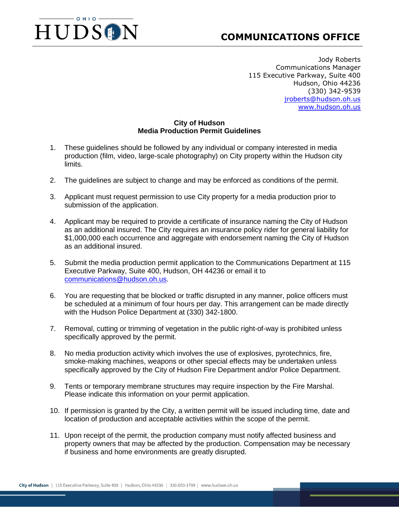## $OHIO$ HUDSON

## **COMMUNICATIONS OFFICE**

Jody Roberts Communications Manager 115 Executive Parkway, Suite 400 Hudson, Ohio 44236 (330) 342-9539 [jroberts@hudson.oh.us](mailto:jroberts@hudson.oh.us) [www.hudson.oh.us](http://www.hudson.oh.us/)

## **City of Hudson Media Production Permit Guidelines**

- 1. These guidelines should be followed by any individual or company interested in media production (film, video, large-scale photography) on City property within the Hudson city limits.
- 2. The guidelines are subject to change and may be enforced as conditions of the permit.
- 3. Applicant must request permission to use City property for a media production prior to submission of the application.
- 4. Applicant may be required to provide a certificate of insurance naming the City of Hudson as an additional insured. The City requires an insurance policy rider for general liability for \$1,000,000 each occurrence and aggregate with endorsement naming the City of Hudson as an additional insured.
- 5. Submit the media production permit application to the Communications Department at 115 Executive Parkway, Suite 400, Hudson, OH 44236 or email it to [communications@hudson.oh.us.](mailto:communications@hudson.oh.us)
- 6. You are requesting that be blocked or traffic disrupted in any manner, police officers must be scheduled at a minimum of four hours per day. This arrangement can be made directly with the Hudson Police Department at (330) 342-1800.
- 7. Removal, cutting or trimming of vegetation in the public right-of-way is prohibited unless specifically approved by the permit.
- 8. No media production activity which involves the use of explosives, pyrotechnics, fire, smoke-making machines, weapons or other special effects may be undertaken unless specifically approved by the City of Hudson Fire Department and/or Police Department.
- 9. Tents or temporary membrane structures may require inspection by the Fire Marshal. Please indicate this information on your permit application.
- 10. If permission is granted by the City, a written permit will be issued including time, date and location of production and acceptable activities within the scope of the permit.
- 11. Upon receipt of the permit, the production company must notify affected business and property owners that may be affected by the production. Compensation may be necessary if business and home environments are greatly disrupted.